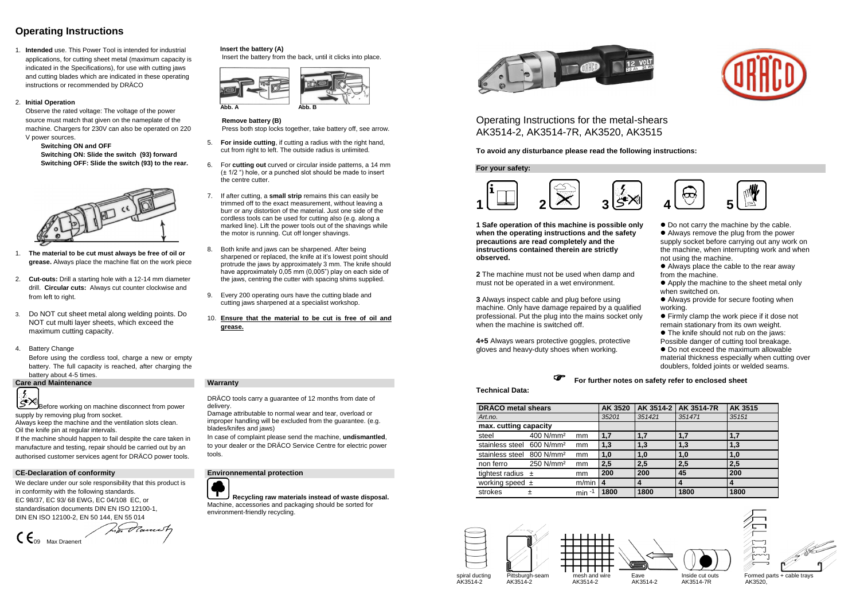# **Operating Instructions**

1. **Intended** use. This Power Tool is intended for industrial applications, for cutting sheet metal (maximum capacity is indicated in the Specifications), for use with cutting jaws and cutting blades which are indicated in these operating instructions or recommended by DRÄCO

### 2. **Initial Operation**

Observe the rated voltage: The voltage of the power source must match that given on the nameplate of the machine. Chargers for 230V can also be operated on 220 V power sources.

**Switching ON and OFF Switching ON: Slide the switch (93) forward Switching OFF: Slide the switch (93) to the rear.**



- 1. **The material to be cut must always be free of oil or grease.** Always place the machine flat on the work piece
- 2. **Cut-outs:** Drill a starting hole with a 12-14 mm diameter drill. **Circular cuts:** Always cut counter clockwise and from left to right.
- 3. Do NOT cut sheet metal along welding points. Do NOT cut multi layer sheets, which exceed the maximum cutting capacity.
- 4. Battery Change

Before using the cordless tool, charge a new or empty battery. The full capacity is reached, after charging the battery about 4-5 times.

### **Care and Maintenance Warranty**



## **Insert the battery (A)**

Insert the battery from the back, until it clicks into place.





### **Remove battery (B)**

Press both stop locks together, take battery off, see arrow.

- 5. **For inside cutting**, if cutting a radius with the right hand, cut from right to left. The outside radius is unlimited.
- 6. For **cutting out** curved or circular inside patterns, a 14 mm (± 1/2 ") hole, or a punched slot should be made to insert the centre cutter.
- 7. If after cutting, a **small strip** remains this can easily be trimmed off to the exact measurement, without leaving a burr or any distortion of the material. Just one side of the cordless tools can be used for cutting also (e.g. along a marked line). Lift the power tools out of the shavings while the motor is running. Cut off longer shavings.
- 8. Both knife and jaws can be sharpened. After being sharpened or replaced, the knife at it's lowest point should protrude the jaws by approximately 3 mm. The knife should have approximately 0,05 mm (0,005") play on each side of the jaws, centring the cutter with spacing shims supplied.
- 9. Every 200 operating ours have the cutting blade and cutting jaws sharpened at a specialist workshop.
- 10. **Ensure that the material to be cut is free of oil and grease.**

• Always place the cable to the rear away from the machine.

Before working on machine disconnect from power supply by removing plug from socket.

Always keep the machine and the ventilation slots clean. Oil the knife pin at regular intervals.

If the machine should happen to fail despite the care taken in manufacture and testing, repair should be carried out by an authorised customer services agent for DRÄCO power tools.

DRÄCO tools carry a guarantee of 12 months from date of delivery.

Damage attributable to normal wear and tear, overload or improper handling will be excluded from the guarantee. (e.g. blades/knifes and jaws)

In case of complaint please send the machine, **undismantled**, to your dealer or the DRÄCO Service Centre for electric power tools.



### **CE-Declaration of conformity Environnemental protection**

We declare under our sole responsibility that this product is in conformity with the following standards. EC 98/37, EC 93/ 68 EWG, EC 04/108 EC, or standardisation documents DIN EN ISO 12100-1, DIN EN ISO 12100-2, EN 50 144, EN 55 014

CE 09 Max Draenert

**Recycling raw materials instead of waste disposal.**  Machine, accessories and packaging should be sorted for environment-friendly recycling.



## Operating Instructions for the metal-shears AK3514-2, AK3514-7R, AK3520, AK3515

**To avoid any disturbance please read the following instructions:**

**For your safety:**



**1 Safe operation of this machine is possible only when the operating instructions and the safety precautions are read completely and the instructions contained therein are strictly observed.**

**2** The machine must not be used when damp and must not be operated in a wet environment.

**3** Always inspect cable and plug before using machine. Only have damage repaired by a qualified professional. Put the plug into the mains socket only when the machine is switched off.

**4+5** Always wears protective goggles, protective gloves and heavy-duty shoes when working.

 Always remove the plug from the power supply socket before carrying out any work on the machine, when interrupting work and when not using the machine.

 Apply the machine to the sheet metal only when switched on.

 Always provide for secure footing when working.

 Firmly clamp the work piece if it dose not remain stationary from its own weight.

• The knife should not rub on the jaws:

Possible danger of cutting tool breakage.

 $\bullet$  Do not exceed the maximum allowable

material thickness especially when cutting over doublers, folded joints or welded seams.

### **For further notes on safety refer to enclosed sheet**







**Technical Data:**

| <b>DRÄCO metal shears</b>             |                       |            | AK 3520 |                  | AK 3514-2   AK 3514-7R | AK 3515 |
|---------------------------------------|-----------------------|------------|---------|------------------|------------------------|---------|
| Art.no.                               |                       |            | 35201   | 351421           | 351471                 | 35151   |
| max. cutting capacity                 |                       |            |         |                  |                        |         |
| steel                                 | 400 N/mm <sup>2</sup> | mm         | 1,7     | 1,7              | 1,7                    | 1,7     |
| stainless steel 600 N/mm <sup>2</sup> |                       | mm         | 1,3     | 1,3              | 1,3                    | 1,3     |
| stainless steel 800 N/mm <sup>2</sup> |                       | mm         | 1,0     | 1,0              | 1,0                    | 1,0     |
| non ferro                             | 250 N/mm <sup>2</sup> | mm         | 2,5     | 2,5              | 2,5                    | 2,5     |
| tightest radius $\pm$                 |                       | mm         | 200     | 200              | 45                     | 200     |
| working speed $\pm$                   |                       | m/min      | 4       | $\boldsymbol{4}$ | 4                      | 4       |
| strokes                               | 土                     | $min^{-1}$ | 1800    | 1800             | 1800                   | 1800    |











 $\bullet$  Do not carry the machine by the cable.